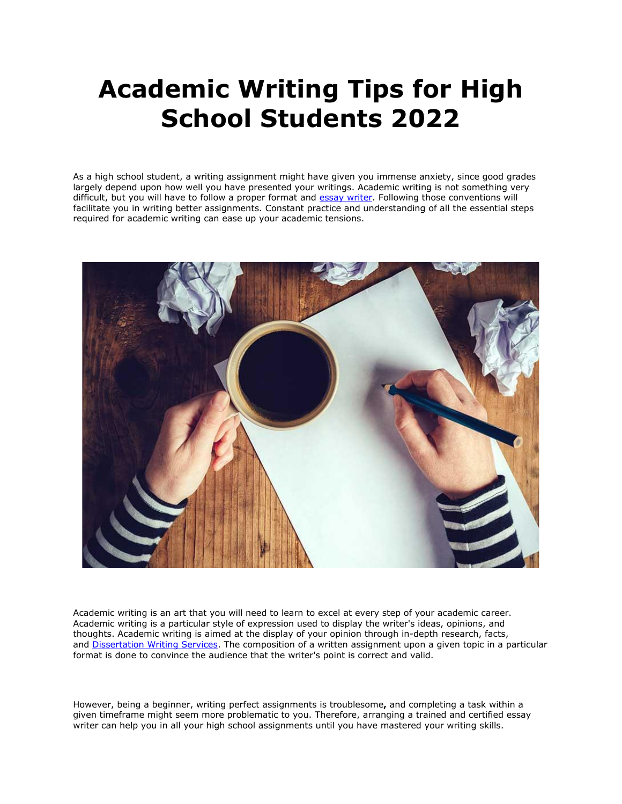# **Academic Writing Tips for High School Students 2022**

As a high school student, a writing assignment might have given you immense anxiety, since good grades largely depend upon how well you have presented your writings. Academic writing is not something very difficult, but you will have to follow a proper format and [essay writer.](https://essayhours.com/) Following those conventions will facilitate you in writing better assignments. Constant practice and understanding of all the essential steps required for academic writing can ease up your academic tensions.



Academic writing is an art that you will need to learn to excel at every step of your academic career. Academic writing is a particular style of expression used to display the writer's ideas, opinions, and thoughts. Academic writing is aimed at the display of your opinion through in-depth research, facts, and [Dissertation Writing Services.](https://gradschoolgenius.com/) The composition of a written assignment upon a given topic in a particular format is done to convince the audience that the writer's point is correct and valid.

However, being a beginner, writing perfect assignments is troublesome**,** and completing a task within a given timeframe might seem more problematic to you. Therefore, arranging a trained and certified essay writer can help you in all your high school assignments until you have mastered your writing skills.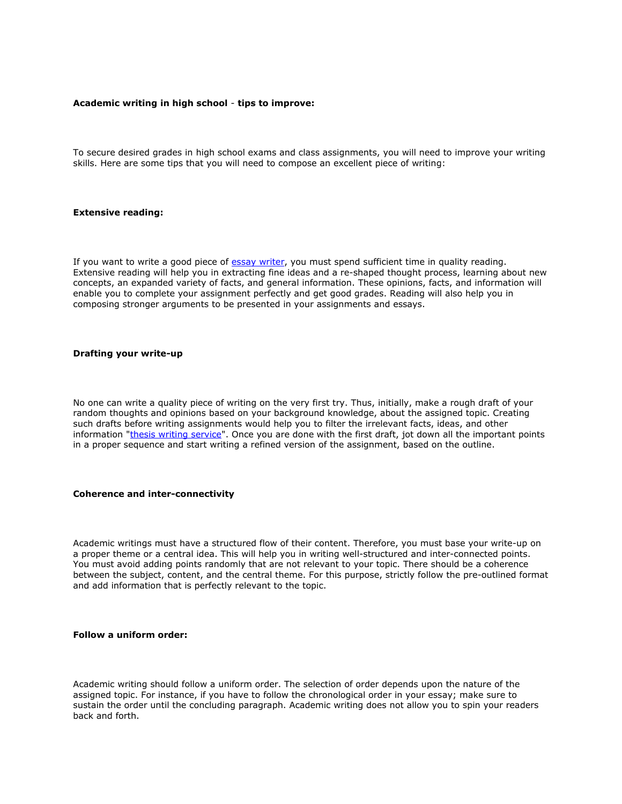#### **Academic writing in high school** - **tips to improve:**

To secure desired grades in high school exams and class assignments, you will need to improve your writing skills. Here are some tips that you will need to compose an excellent piece of writing:

# **Extensive reading:**

If you want to write a good piece of [essay writer,](https://www.freeessaywriter.net/) you must spend sufficient time in quality reading. Extensive reading will help you in extracting fine ideas and a re-shaped thought process, learning about new concepts, an expanded variety of facts, and general information. These opinions, facts, and information will enable you to complete your assignment perfectly and get good grades. Reading will also help you in composing stronger arguments to be presented in your assignments and essays.

#### **Drafting your write-up**

No one can write a quality piece of writing on the very first try. Thus, initially, make a rough draft of your random thoughts and opinions based on your background knowledge, about the assigned topic. Creating such drafts before writing assignments would help you to filter the irrelevant facts, ideas, and other information ["thesis writing service"](https://gradschoolgenius.com/). Once you are done with the first draft, jot down all the important points in a proper sequence and start writing a refined version of the assignment, based on the outline.

#### **Coherence and inter-connectivity**

Academic writings must have a structured flow of their content. Therefore, you must base your write-up on a proper theme or a central idea. This will help you in writing well-structured and inter-connected points. You must avoid adding points randomly that are not relevant to your topic. There should be a coherence between the subject, content, and the central theme. For this purpose, strictly follow the pre-outlined format and add information that is perfectly relevant to the topic.

### **Follow a uniform order:**

Academic writing should follow a uniform order. The selection of order depends upon the nature of the assigned topic. For instance, if you have to follow the chronological order in your essay; make sure to sustain the order until the concluding paragraph. Academic writing does not allow you to spin your readers back and forth.